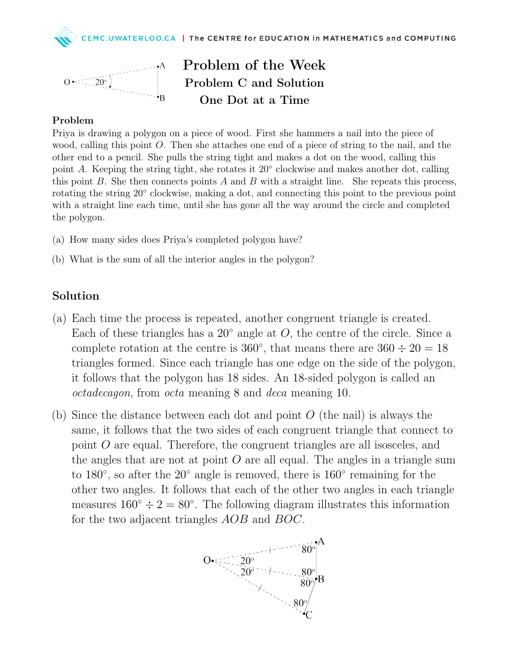



Problem of the Week Problem C and Solution One Dot at a Time

## Problem

Priya is drawing a polygon on a piece of wood. First she hammers a nail into the piece of wood, calling this point O. Then she attaches one end of a piece of string to the nail, and the other end to a pencil. She pulls the string tight and makes a dot on the wood, calling this point A. Keeping the string tight, she rotates it 20° clockwise and makes another dot, calling this point B. She then connects points A and B with a straight line. She repeats this process, rotating the string 20° clockwise, making a dot, and connecting this point to the previous point with a straight line each time, until she has gone all the way around the circle and completed the polygon.

- (a) How many sides does Priya's completed polygon have?
- (b) What is the sum of all the interior angles in the polygon?

## Solution

- (a) Each time the process is repeated, another congruent triangle is created. Each of these triangles has a  $20°$  angle at  $O$ , the centre of the circle. Since a complete rotation at the centre is 360 $^{\circ}$ , that means there are 360  $\div 20 = 18$ triangles formed. Since each triangle has one edge on the side of the polygon, it follows that the polygon has 18 sides. An 18-sided polygon is called an octadecagon, from octa meaning 8 and deca meaning 10.
- (b) Since the distance between each dot and point  $O$  (the nail) is always the same, it follows that the two sides of each congruent triangle that connect to point O are equal. Therefore, the congruent triangles are all isosceles, and the angles that are not at point  $O$  are all equal. The angles in a triangle sum to 180<sup>°</sup>, so after the 20<sup>°</sup> angle is removed, there is 160<sup>°</sup> remaining for the other two angles. It follows that each of the other two angles in each triangle measures  $160^\circ \div 2 = 80^\circ$ . The following diagram illustrates this information for the two adjacent triangles AOB and BOC.